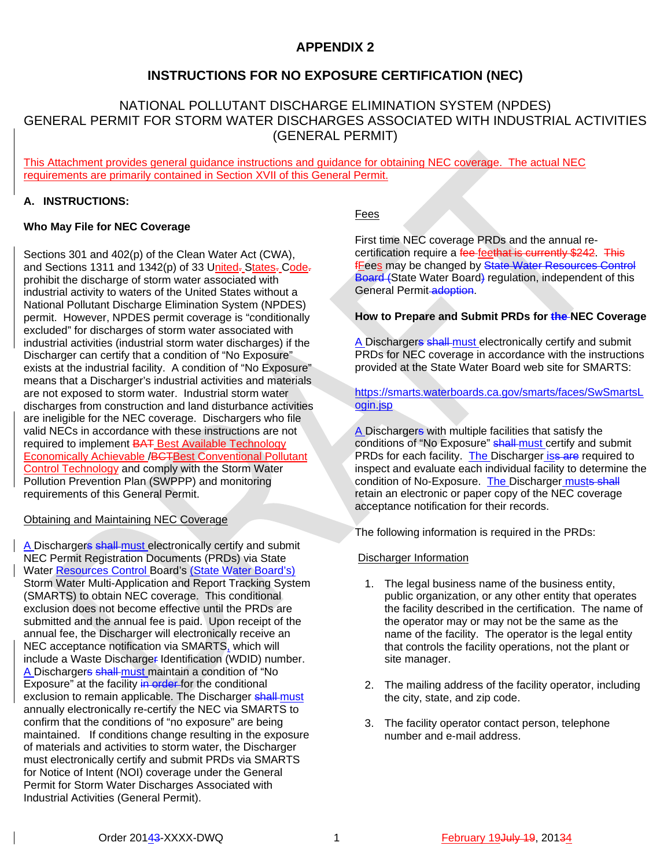# **APPENDIX 2**

# **INSTRUCTIONS FOR NO EXPOSURE CERTIFICATION (NEC)**

# NATIONAL POLLUTANT DISCHARGE ELIMINATION SYSTEM (NPDES) GENERAL PERMIT FOR STORM WATER DISCHARGES ASSOCIATED WITH INDUSTRIAL ACTIVITIES (GENERAL PERMIT)

This Attachment provides general guidance instructions and guidance for obtaining NEC coverage. The actual NEC requirements are primarily contained in Section XVII of this General Permit.

## **A. INSTRUCTIONS:**

### **Who May File for NEC Coverage**

Sections 301 and 402(p) of the Clean Water Act (CWA), and Sections 1311 and 1342(p) of 33 United. States. Code. prohibit the discharge of storm water associated with industrial activity to waters of the United States without a National Pollutant Discharge Elimination System (NPDES) permit. However, NPDES permit coverage is "conditionally excluded" for discharges of storm water associated with industrial activities (industrial storm water discharges) if the Discharger can certify that a condition of "No Exposure" exists at the industrial facility. A condition of "No Exposure" means that a Discharger's industrial activities and materials are not exposed to storm water. Industrial storm water discharges from construction and land disturbance activities are ineligible for the NEC coverage. Dischargers who file valid NECs in accordance with these instructions are not required to implement BAT Best Available Technology Economically Achievable /BCTBest Conventional Pollutant Control Technology and comply with the Storm Water Pollution Prevention Plan (SWPPP) and monitoring requirements of this General Permit.

#### Obtaining and Maintaining NEC Coverage

A Dischargers shall must electronically certify and submit NEC Permit Registration Documents (PRDs) via State Water Resources Control Board's (State Water Board's) Storm Water Multi-Application and Report Tracking System (SMARTS) to obtain NEC coverage. This conditional exclusion does not become effective until the PRDs are submitted and the annual fee is paid. Upon receipt of the annual fee, the Discharger will electronically receive an NEC acceptance notification via SMARTS, which will include a Waste Discharger Identification (WDID) number. A Dischargers shall-must maintain a condition of "No Exposure" at the facility in order for the conditional exclusion to remain applicable. The Discharger shall must annually electronically re-certify the NEC via SMARTS to confirm that the conditions of "no exposure" are being maintained. If conditions change resulting in the exposure of materials and activities to storm water, the Discharger must electronically certify and submit PRDs via SMARTS for Notice of Intent (NOI) coverage under the General Permit for Storm Water Discharges Associated with Industrial Activities (General Permit).

## Fees

First time NEC coverage PRDs and the annual recertification require a fee feethat is currently \$242. This **fFees may be changed by State Water Resources Control** Board (State Water Board) regulation, independent of this General Permit adoption.

#### **How to Prepare and Submit PRDs for the NEC Coverage**

A Dischargers shall must electronically certify and submit PRDs for NEC coverage in accordance with the instructions provided at the State Water Board web site for SMARTS:

[https://smarts.waterboards.ca.gov/smarts/faces/SwSmartsL](https://smarts.waterboards.ca.gov/smarts/faces/SwSmartsLogin.jsp) [ogin.jsp](https://smarts.waterboards.ca.gov/smarts/faces/SwSmartsLogin.jsp)

A Dischargers with multiple facilities that satisfy the conditions of "No Exposure" shall must certify and submit PRDs for each facility. The Discharger iss are required to inspect and evaluate each individual facility to determine the condition of No-Exposure. The Discharger musts shall retain an electronic or paper copy of the NEC coverage acceptance notification for their records.

The following information is required in the PRDs:

#### Discharger Information

- 1. The legal business name of the business entity, public organization, or any other entity that operates the facility described in the certification. The name of the operator may or may not be the same as the name of the facility. The operator is the legal entity that controls the facility operations, not the plant or site manager.
- 2. The mailing address of the facility operator, including the city, state, and zip code.
- 3. The facility operator contact person, telephone number and e-mail address.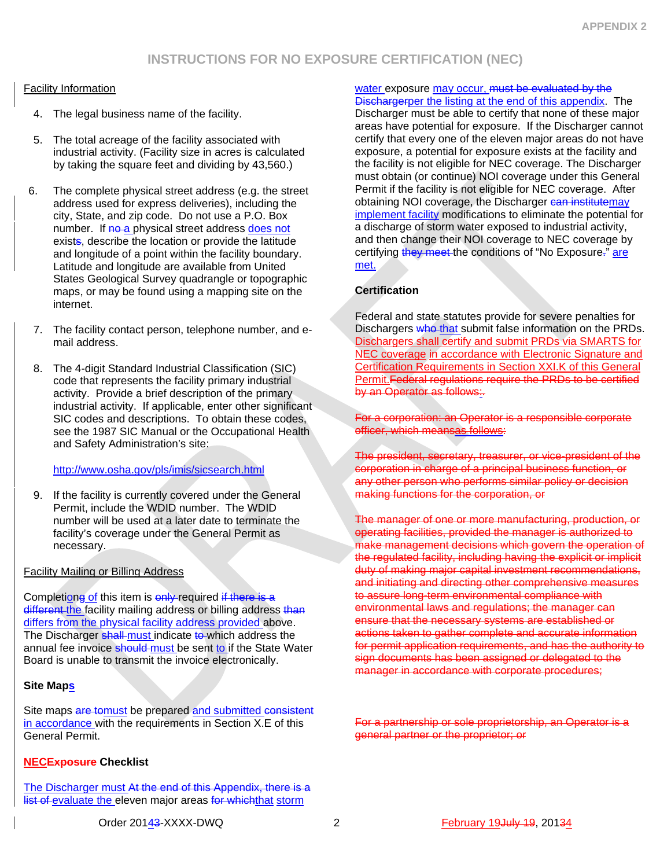#### Facility Information

- 4. The legal business name of the facility.
- 5. The total acreage of the facility associated with industrial activity. (Facility size in acres is calculated by taking the square feet and dividing by 43,560.)
- 6. The complete physical street address (e.g. the street address used for express deliveries), including the city, State, and zip code. Do not use a P.O. Box number. If no a physical street address does not exists, describe the location or provide the latitude and longitude of a point within the facility boundary. Latitude and longitude are available from United States Geological Survey quadrangle or topographic maps, or may be found using a mapping site on the internet.
- 7. The facility contact person, telephone number, and email address.
- 8. The 4-digit Standard Industrial Classification (SIC) code that represents the facility primary industrial activity. Provide a brief description of the primary industrial activity. If applicable, enter other significant SIC codes and descriptions. To obtain these codes, see the 1987 SIC Manual or the Occupational Health and Safety Administration's site:

#### <http://www.osha.gov/pls/imis/sicsearch.html>

9. If the facility is currently covered under the General Permit, include the WDID number. The WDID number will be used at a later date to terminate the facility's coverage under the General Permit as necessary.

#### Facility Mailing or Billing Address

Completiong of this item is enly-required if there is a different the facility mailing address or billing address than differs from the physical facility address provided above. The Discharger shall must indicate to which address the annual fee invoice should must be sent to if the State Water Board is unable to transmit the invoice electronically.

#### **Site Maps**

Site maps are temust be prepared and submitted consistent in accordance with the requirements in Section X.E of this General Permit.

#### **NECExposure Checklist**

The Discharger must At the end of this Appendix, there is a list of evaluate the eleven major areas for which that storm

#### water exposure may occur, must be evaluated by the Dischargerper the listing at the end of this appendix. The

Discharger must be able to certify that none of these major areas have potential for exposure. If the Discharger cannot certify that every one of the eleven major areas do not have exposure, a potential for exposure exists at the facility and the facility is not eligible for NEC coverage. The Discharger must obtain (or continue) NOI coverage under this General Permit if the facility is not eligible for NEC coverage. After obtaining NOI coverage, the Discharger can institutemay implement facility modifications to eliminate the potential for a discharge of storm water exposed to industrial activity, and then change their NOI coverage to NEC coverage by certifying they meet the conditions of "No Exposure-" are met.

### **Certification**

Federal and state statutes provide for severe penalties for Dischargers who that submit false information on the PRDs. Dischargers shall certify and submit PRDs via SMARTS for NEC coverage in accordance with Electronic Signature and Certification Requirements in Section XXI.K of this General Permit.Federal regulations require the PRDs to be certified by an Operator as follows:

For a corporation: an Operator is a responsible corporate officer, which meansas follows:

The president, secretary, treasurer, or vice-president of the corporation in charge of a principal business function, or any other person who performs similar policy or decision making functions for the corporation, or

The manager of one or more manufacturing, production, or operating facilities, provided the manager is authorized to make management decisions which govern the operation of the regulated facility, including having the explicit or implicit duty of making major capital investment recommendations, and initiating and directing other comprehensive measures to assure long-term environmental compliance with environmental laws and regulations; the manager can ensure that the necessary systems are established or actions taken to gather complete and accurate information for permit application requirements, and has the authority to sign documents has been assigned or delegated to the manager in accordance with corporate procedures;

For a partnership or sole proprietorship, an Operator is a general partner or the proprietor; or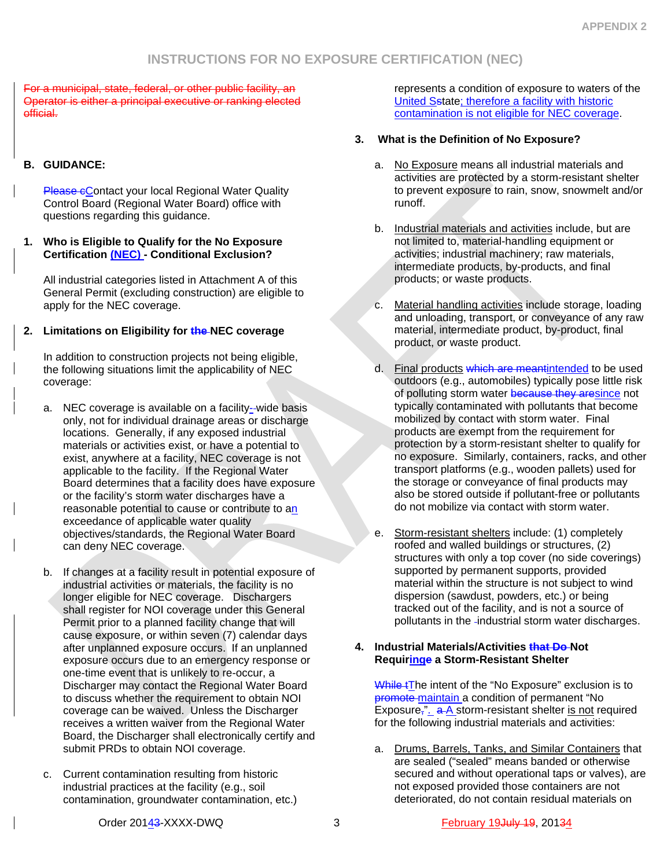For a municipal, state, federal, or other public facility, an Operator is either a principal executive or ranking elected official.

#### **B. GUIDANCE:**

**Please cContact your local Regional Water Quality** Control Board (Regional Water Board) office with questions regarding this guidance.

#### **1. Who is Eligible to Qualify for the No Exposure Certification (NEC) - Conditional Exclusion?**

All industrial categories listed in Attachment A of this General Permit (excluding construction) are eligible to apply for the NEC coverage.

#### **2. Limitations on Eligibility for the NEC coverage**

In addition to construction projects not being eligible, the following situations limit the applicability of NEC coverage:

- a. NEC coverage is available on a facility--wide basis only, not for individual drainage areas or discharge locations. Generally, if any exposed industrial materials or activities exist, or have a potential to exist, anywhere at a facility, NEC coverage is not applicable to the facility. If the Regional Water Board determines that a facility does have exposure or the facility's storm water discharges have a reasonable potential to cause or contribute to an exceedance of applicable water quality objectives/standards, the Regional Water Board can deny NEC coverage.
- b. If changes at a facility result in potential exposure of industrial activities or materials, the facility is no longer eligible for NEC coverage. Dischargers shall register for NOI coverage under this General Permit prior to a planned facility change that will cause exposure, or within seven (7) calendar days after unplanned exposure occurs. If an unplanned exposure occurs due to an emergency response or one-time event that is unlikely to re-occur, a Discharger may contact the Regional Water Board to discuss whether the requirement to obtain NOI coverage can be waived. Unless the Discharger receives a written waiver from the Regional Water Board, the Discharger shall electronically certify and submit PRDs to obtain NOI coverage.
- c. Current contamination resulting from historic industrial practices at the facility (e.g., soil contamination, groundwater contamination, etc.)

represents a condition of exposure to waters of the United Sstate; therefore a facility with historic contamination is not eligible for NEC coverage.

#### **3. What is the Definition of No Exposure?**

- a. No Exposure means all industrial materials and activities are protected by a storm-resistant shelter to prevent exposure to rain, snow, snowmelt and/or runoff.
- b. Industrial materials and activities include, but are not limited to, material-handling equipment or activities; industrial machinery; raw materials, intermediate products, by-products, and final products; or waste products.
- c. Material handling activities include storage, loading and unloading, transport, or conveyance of any raw material, intermediate product, by-product, final product, or waste product.
- d. Final products which are meantintended to be used outdoors (e.g., automobiles) typically pose little risk of polluting storm water because they aresince not typically contaminated with pollutants that become mobilized by contact with storm water. Final products are exempt from the requirement for protection by a storm-resistant shelter to qualify for no exposure. Similarly, containers, racks, and other transport platforms (e.g., wooden pallets) used for the storage or conveyance of final products may also be stored outside if pollutant-free or pollutants do not mobilize via contact with storm water.
- e. Storm-resistant shelters include: (1) completely roofed and walled buildings or structures, (2) structures with only a top cover (no side coverings) supported by permanent supports, provided material within the structure is not subject to wind dispersion (sawdust, powders, etc.) or being tracked out of the facility, and is not a source of pollutants in the -industrial storm water discharges.

#### **4. Industrial Materials/Activities that Do Not Requiringe a Storm-Resistant Shelter**

While tThe intent of the "No Exposure" exclusion is to promote maintain a condition of permanent "No Exposure," $\frac{a}{n}$  a-A storm-resistant shelter is not required for the following industrial materials and activities:

a. Drums, Barrels, Tanks, and Similar Containers that are sealed ("sealed" means banded or otherwise secured and without operational taps or valves), are not exposed provided those containers are not deteriorated, do not contain residual materials on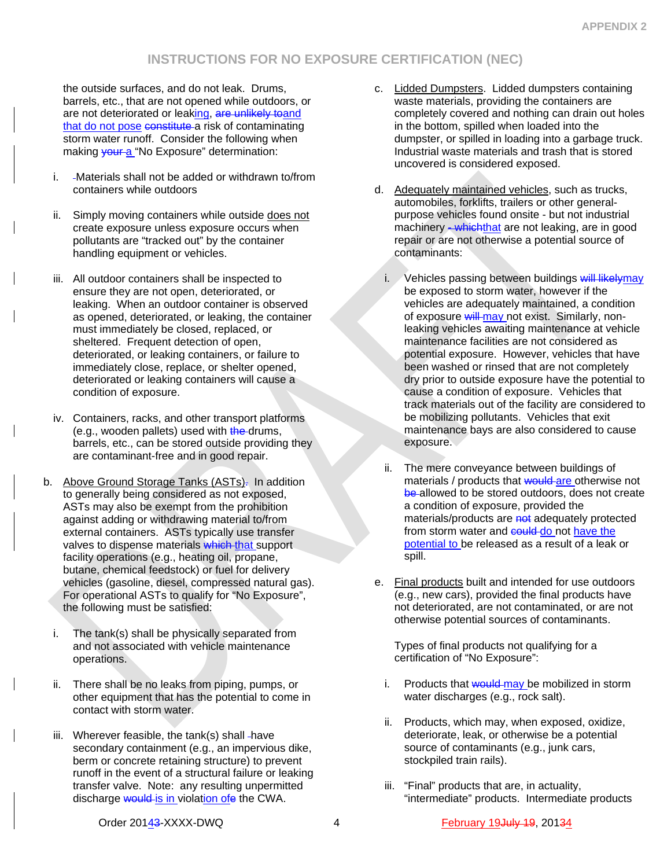the outside surfaces, and do not leak. Drums, barrels, etc., that are not opened while outdoors, or are not deteriorated or leaking, are unlikely toand that do not pose constitute a risk of contaminating storm water runoff. Consider the following when making **your a** "No Exposure" determination:

- i. Materials shall not be added or withdrawn to/from containers while outdoors
- ii. Simply moving containers while outside does not create exposure unless exposure occurs when pollutants are "tracked out" by the container handling equipment or vehicles.
- iii. All outdoor containers shall be inspected to ensure they are not open, deteriorated, or leaking. When an outdoor container is observed as opened, deteriorated, or leaking, the container must immediately be closed, replaced, or sheltered. Frequent detection of open, deteriorated, or leaking containers, or failure to immediately close, replace, or shelter opened, deteriorated or leaking containers will cause a condition of exposure.
- iv. Containers, racks, and other transport platforms  $(e.q.,$  wooden pallets) used with  $the$ -drums, barrels, etc., can be stored outside providing they are contaminant-free and in good repair.
- b. Above Ground Storage Tanks (ASTs)- In addition to generally being considered as not exposed, ASTs may also be exempt from the prohibition against adding or withdrawing material to/from external containers. ASTs typically use transfer valves to dispense materials which that support facility operations (e.g., heating oil, propane, butane, chemical feedstock) or fuel for delivery vehicles (gasoline, diesel, compressed natural gas). For operational ASTs to qualify for "No Exposure", the following must be satisfied:
	- i. The tank(s) shall be physically separated from and not associated with vehicle maintenance operations.
	- ii. There shall be no leaks from piping, pumps, or other equipment that has the potential to come in contact with storm water.
	- iii. Wherever feasible, the tank(s) shall -have secondary containment (e.g., an impervious dike, berm or concrete retaining structure) to prevent runoff in the event of a structural failure or leaking transfer valve. Note: any resulting unpermitted discharge **would** is in violation ofe the CWA.
- c. Lidded Dumpsters. Lidded dumpsters containing waste materials, providing the containers are completely covered and nothing can drain out holes in the bottom, spilled when loaded into the dumpster, or spilled in loading into a garbage truck. Industrial waste materials and trash that is stored uncovered is considered exposed.
- d. Adequately maintained vehicles, such as trucks, automobiles, forklifts, trailers or other generalpurpose vehicles found onsite - but not industrial machinery - whichthat are not leaking, are in good repair or are not otherwise a potential source of contaminants:
	- i. Vehicles passing between buildings will likelymay be exposed to storm water, however if the vehicles are adequately maintained, a condition of exposure will may not exist. Similarly, nonleaking vehicles awaiting maintenance at vehicle maintenance facilities are not considered as potential exposure. However, vehicles that have been washed or rinsed that are not completely dry prior to outside exposure have the potential to cause a condition of exposure. Vehicles that track materials out of the facility are considered to be mobilizing pollutants. Vehicles that exit maintenance bays are also considered to cause exposure.
	- ii. The mere conveyance between buildings of materials / products that would are otherwise not be allowed to be stored outdoors, does not create a condition of exposure, provided the materials/products are not adequately protected from storm water and could do not have the potential to be released as a result of a leak or spill.
- e. Final products built and intended for use outdoors (e.g., new cars), provided the final products have not deteriorated, are not contaminated, or are not otherwise potential sources of contaminants.

Types of final products not qualifying for a certification of "No Exposure":

- i. Products that would may be mobilized in storm water discharges (e.g., rock salt).
- ii. Products, which may, when exposed, oxidize, deteriorate, leak, or otherwise be a potential source of contaminants (e.g., junk cars, stockpiled train rails).
- iii. "Final" products that are, in actuality, "intermediate" products. Intermediate products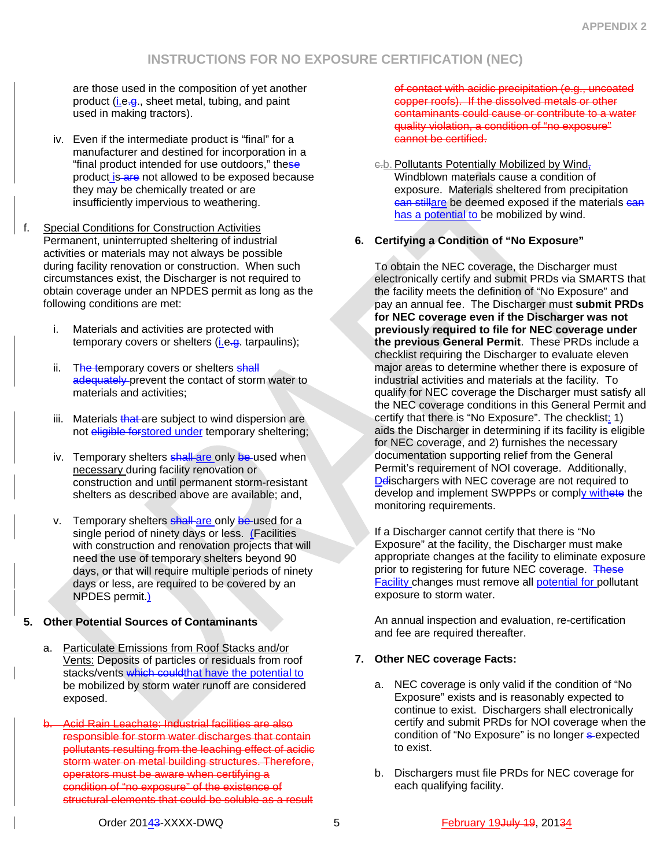are those used in the composition of yet another product (i.e.g., sheet metal, tubing, and paint used in making tractors).

- iv. Even if the intermediate product is "final" for a manufacturer and destined for incorporation in a "final product intended for use outdoors," these product is are not allowed to be exposed because they may be chemically treated or are insufficiently impervious to weathering.
- f. Special Conditions for Construction Activities Permanent, uninterrupted sheltering of industrial activities or materials may not always be possible during facility renovation or construction. When such circumstances exist, the Discharger is not required to obtain coverage under an NPDES permit as long as the following conditions are met:
	- i. Materials and activities are protected with temporary covers or shelters (i.e.g. tarpaulins);
	- ii. The temporary covers or shelters shall adequately prevent the contact of storm water to materials and activities;
	- iii. Materials that are subject to wind dispersion are not eligible forstored under temporary sheltering;
	- iv. Temporary shelters shall are only be used when necessary during facility renovation or construction and until permanent storm-resistant shelters as described above are available; and,
	- v. Temporary shelters shall are only be used for a single period of ninety days or less. (Facilities with construction and renovation projects that will need the use of temporary shelters beyond 90 days, or that will require multiple periods of ninety days or less, are required to be covered by an NPDES permit.)

## **5. Other Potential Sources of Contaminants**

- a. Particulate Emissions from Roof Stacks and/or Vents: Deposits of particles or residuals from roof stacks/vents which could that have the potential to be mobilized by storm water runoff are considered exposed.
- b. Acid Rain Leachate: Industrial facilities are also responsible for storm water discharges that contain pollutants resulting from the leaching effect of acidic storm water on metal building structures. Therefore, operators must be aware when certifying a condition of "no exposure" of the existence of structural elements that could be soluble as a result

of contact with acidic precipitation (e.g., uncoated copper roofs). If the dissolved metals or other contaminants could cause or contribute to a water quality violation, a condition of "no exposure" cannot be certified.

e.b. Pollutants Potentially Mobilized by Wind, Windblown materials cause a condition of exposure. Materials sheltered from precipitation can stillare be deemed exposed if the materials can has a potential to be mobilized by wind.

## **6. Certifying a Condition of "No Exposure"**

To obtain the NEC coverage, the Discharger must electronically certify and submit PRDs via SMARTS that the facility meets the definition of "No Exposure" and pay an annual fee. The Discharger must **submit PRDs for NEC coverage even if the Discharger was not previously required to file for NEC coverage under the previous General Permit**. These PRDs include a checklist requiring the Discharger to evaluate eleven major areas to determine whether there is exposure of industrial activities and materials at the facility. To qualify for NEC coverage the Discharger must satisfy all the NEC coverage conditions in this General Permit and certify that there is "No Exposure". The checklist: 1) aids the Discharger in determining if its facility is eligible for NEC coverage, and 2) furnishes the necessary documentation supporting relief from the General Permit's requirement of NOI coverage. Additionally, Delischargers with NEC coverage are not required to develop and implement SWPPPs or comply withete the monitoring requirements.

If a Discharger cannot certify that there is "No Exposure" at the facility, the Discharger must make appropriate changes at the facility to eliminate exposure prior to registering for future NEC coverage. These Facility changes must remove all potential for pollutant exposure to storm water.

An annual inspection and evaluation, re-certification and fee are required thereafter.

## **7. Other NEC coverage Facts:**

- a. NEC coverage is only valid if the condition of "No Exposure" exists and is reasonably expected to continue to exist. Dischargers shall electronically certify and submit PRDs for NOI coverage when the condition of "No Exposure" is no longer s-expected to exist.
- b. Dischargers must file PRDs for NEC coverage for each qualifying facility.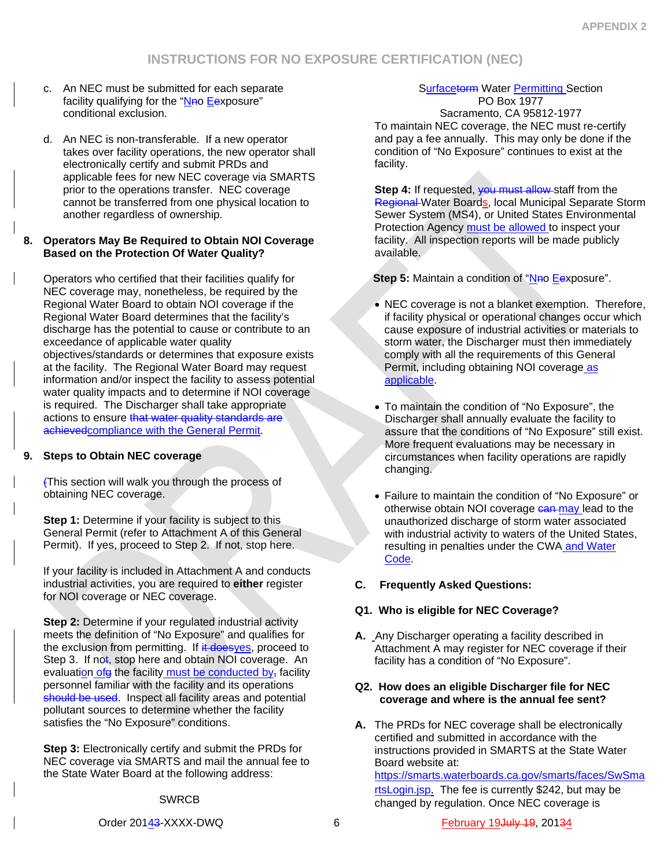- c. An NEC must be submitted for each separate facility qualifying for the "Neo Eexposure" conditional exclusion.
- d. An NEC is non-transferable. If a new operator takes over facility operations, the new operator shall electronically certify and submit PRDs and applicable fees for new NEC coverage via SMARTS prior to the operations transfer. NEC coverage cannot be transferred from one physical location to another regardless of ownership.

#### **8. Operators May Be Required to Obtain NOI Coverage Based on the Protection Of Water Quality?**

Operators who certified that their facilities qualify for NEC coverage may, nonetheless, be required by the Regional Water Board to obtain NOI coverage if the Regional Water Board determines that the facility's discharge has the potential to cause or contribute to an exceedance of applicable water quality objectives/standards or determines that exposure exists at the facility. The Regional Water Board may request information and/or inspect the facility to assess potential water quality impacts and to determine if NOI coverage is required. The Discharger shall take appropriate actions to ensure that water quality standards are achievedcompliance with the General Permit.

#### **9. Steps to Obtain NEC coverage**

(This section will walk you through the process of obtaining NEC coverage.

**Step 1:** Determine if your facility is subject to this General Permit (refer to Attachment A of this General Permit). If yes, proceed to Step 2. If not, stop here.

If your facility is included in Attachment A and conducts industrial activities, you are required to **either** register for NOI coverage or NEC coverage.

**Step 2: Determine if your regulated industrial activity** meets the definition of "No Exposure" and qualifies for the exclusion from permitting. If it doesyes, proceed to Step 3. If not, stop here and obtain NOI coverage. An evaluation of  $g$  the facility must be conducted by, facility personnel familiar with the facility and its operations should be used. Inspect all facility areas and potential pollutant sources to determine whether the facility satisfies the "No Exposure" conditions.

**Step 3: Electronically certify and submit the PRDs for** NEC coverage via SMARTS and mail the annual fee to the State Water Board at the following address:

## **SWRCB**

Surfacetorm Water Permitting Section PO Box 1977

Sacramento, CA 95812-1977 To maintain NEC coverage, the NEC must re-certify and pay a fee annually. This may only be done if the condition of "No Exposure" continues to exist at the facility.

**Step 4:** If requested, you must allow staff from the Regional Water Boards, local Municipal Separate Storm Sewer System (MS4), or United States Environmental Protection Agency must be allowed to inspect your facility. All inspection reports will be made publicly available.

**Step 5:** Maintain a condition of "N<sub>no</sub> Eexposure".

- NEC coverage is not a blanket exemption. Therefore, if facility physical or operational changes occur which cause exposure of industrial activities or materials to storm water, the Discharger must then immediately comply with all the requirements of this General Permit, including obtaining NOI coverage as applicable.
- To maintain the condition of "No Exposure", the Discharger shall annually evaluate the facility to assure that the conditions of "No Exposure" still exist. More frequent evaluations may be necessary in circumstances when facility operations are rapidly changing.
- Failure to maintain the condition of "No Exposure" or otherwise obtain NOI coverage can may lead to the unauthorized discharge of storm water associated with industrial activity to waters of the United States, resulting in penalties under the CWA and Water Code.
- **C. Frequently Asked Questions:**

## **Q1. Who is eligible for NEC Coverage?**

**A.** Any Discharger operating a facility described in Attachment A may register for NEC coverage if their facility has a condition of "No Exposure".

### **Q2. How does an eligible Discharger file for NEC coverage and where is the annual fee sent?**

**A.** The PRDs for NEC coverage shall be electronically certified and submitted in accordance with the instructions provided in SMARTS at the State Water Board website at: [https://smarts.waterboards.ca.gov/smarts/faces/SwSma](https://smarts.waterboards.ca.gov/smarts/faces/SwSmartsLogin.jsp) [rtsLogin.jsp](https://smarts.waterboards.ca.gov/smarts/faces/SwSmartsLogin.jsp). The fee is currently \$242, but may be changed by regulation. Once NEC coverage is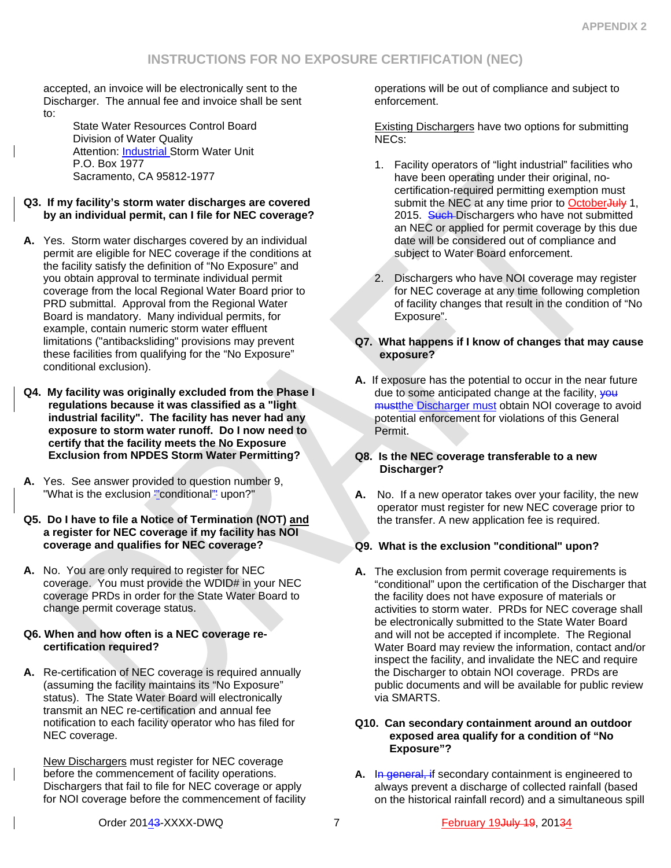accepted, an invoice will be electronically sent to the Discharger. The annual fee and invoice shall be sent to:

> State Water Resources Control Board Division of Water Quality Attention: Industrial Storm Water Unit P.O. Box 1977 Sacramento, CA 95812-1977

- **Q3. If my facility's storm water discharges are covered by an individual permit, can I file for NEC coverage?**
- **A.** Yes. Storm water discharges covered by an individual permit are eligible for NEC coverage if the conditions at the facility satisfy the definition of "No Exposure" and you obtain approval to terminate individual permit coverage from the local Regional Water Board prior to PRD submittal. Approval from the Regional Water Board is mandatory. Many individual permits, for example, contain numeric storm water effluent limitations ("antibacksliding" provisions may prevent these facilities from qualifying for the "No Exposure" conditional exclusion).
- **Q4. My facility was originally excluded from the Phase I regulations because it was classified as a "light industrial facility". The facility has never had any exposure to storm water runoff. Do I now need to certify that the facility meets the No Exposure Exclusion from NPDES Storm Water Permitting?**
- **A.** Yes. See answer provided to question number 9, "What is the exclusion "conditional" upon?"
- **Q5. Do I have to file a Notice of Termination (NOT) and a register for NEC coverage if my facility has NOI coverage and qualifies for NEC coverage?**
- **A.** No. You are only required to register for NEC coverage. You must provide the WDID# in your NEC coverage PRDs in order for the State Water Board to change permit coverage status.

#### **Q6. When and how often is a NEC coverage recertification required?**

**A.** Re-certification of NEC coverage is required annually (assuming the facility maintains its "No Exposure" status). The State Water Board will electronically transmit an NEC re-certification and annual fee notification to each facility operator who has filed for NEC coverage.

New Dischargers must register for NEC coverage before the commencement of facility operations. Dischargers that fail to file for NEC coverage or apply for NOI coverage before the commencement of facility operations will be out of compliance and subject to enforcement.

Existing Dischargers have two options for submitting NECs:

- 1. Facility operators of "light industrial" facilities who have been operating under their original, nocertification-required permitting exemption must submit the NEC at any time prior to October July 1, 2015. Such-Dischargers who have not submitted an NEC or applied for permit coverage by this due date will be considered out of compliance and subject to Water Board enforcement.
- 2. Dischargers who have NOI coverage may register for NEC coverage at any time following completion of facility changes that result in the condition of "No Exposure".

### **Q7. What happens if I know of changes that may cause exposure?**

**A.** If exposure has the potential to occur in the near future due to some anticipated change at the facility, you mustthe Discharger must obtain NOI coverage to avoid potential enforcement for violations of this General Permit.

### **Q8. Is the NEC coverage transferable to a new Discharger?**

- **A.** No. If a new operator takes over your facility, the new operator must register for new NEC coverage prior to the transfer. A new application fee is required.
- **Q9. What is the exclusion "conditional" upon?**
- **A.** The exclusion from permit coverage requirements is "conditional" upon the certification of the Discharger that the facility does not have exposure of materials or activities to storm water. PRDs for NEC coverage shall be electronically submitted to the State Water Board and will not be accepted if incomplete. The Regional Water Board may review the information, contact and/or inspect the facility, and invalidate the NEC and require the Discharger to obtain NOI coverage. PRDs are public documents and will be available for public review via SMARTS.

#### **Q10. Can secondary containment around an outdoor exposed area qualify for a condition of "No Exposure"?**

A. In general, if secondary containment is engineered to always prevent a discharge of collected rainfall (based on the historical rainfall record) and a simultaneous spill